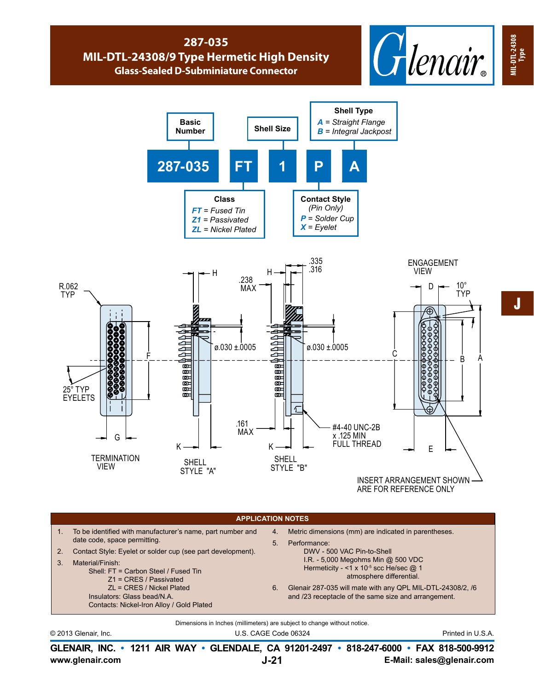## **287-035 MIL-DTL-24308/9 Type Hermetic High Density Glass-Sealed D-Subminiature Connector**





ARE FOR REFERENCE ONLY

## Dimensions in Inches (millimeters) are subject to change without notice. © 2013 Glenair, Inc. U.S. CAGE Code 06324 Printed in U.S.A. **APPLICATION NOTES** 1. To be identified with manufacturer's name, part number and date code, space permitting. 2. Contact Style: Eyelet or solder cup (see part development). 3. Material/Finish: Shell: FT = Carbon Steel / Fused Tin Z1 = CRES / Passivated ZL = CRES / Nickel Plated Insulators: Glass bead/N.A. Contacts: Nickel-Iron Alloy / Gold Plated 4. Metric dimensions (mm) are indicated in parentheses. 5. Performance: DWV - 500 VAC Pin-to-Shell I.R. - 5,000 Megohms Min @ 500 VDC Hermeticity - <1 x 10<sup>-5</sup> scc He/sec @ 1 atmosphere differential. 6. Glenair 287-035 will mate with any QPL MIL-DTL-24308/2, /6 and /23 receptacle of the same size and arrangement.

**www.glenair.com E-Mail: sales@glenair.com GLENAIR, INC. • 1211 AIR WAY • GLENDALE, CA 91201-2497 • 818-247-6000 • FAX 818-500-9912 J-21**